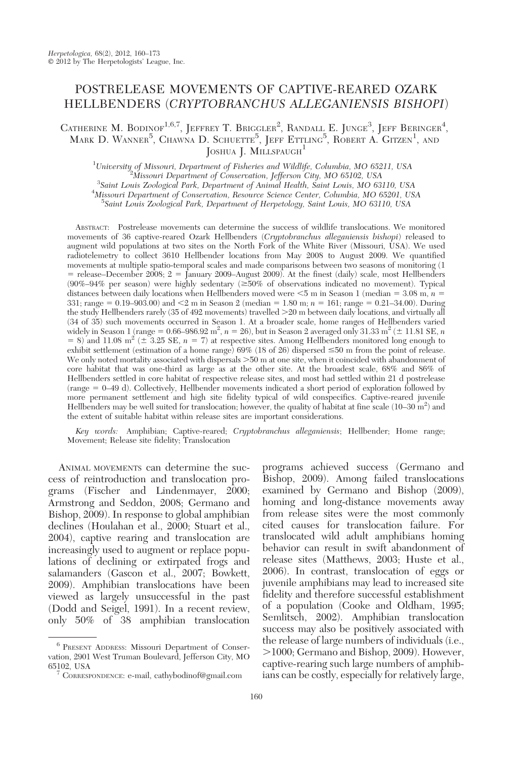# POSTRELEASE MOVEMENTS OF CAPTIVE-REARED OZARK HELLBENDERS (CRYPTOBRANCHUS ALLEGANIENSIS BISHOPI)

CATHERINE M. BODINOF<sup>1,6,7</sup>, JEFFREY T. BRIGGLER<sup>2</sup>, RANDALL E. JUNGE<sup>3</sup>, JEFF BERINGER<sup>4</sup>, MARK D. WANNER<sup>5</sup>, CHAWNA D. SCHUETTE<sup>5</sup>, JEFF ETTLING<sup>5</sup>, ROBERT A. GITZEN<sup>1</sup>, AND JOSHUA J. MILLSPAUGH<sup>1</sup>

<sup>1</sup>University of Missouri, Department of Fisheries and Wildlife, Columbia, MO 65211, USA<br><sup>2</sup>Missouri Department of Conservation, Jefferson City, MO 65102, USA  $^{2}$ Missouri Department of Conservation, Jefferson City, MO 65102, USA

<sup>3</sup>Saint Louis Zoological Park, Department of Animal Health, Saint Louis, MO 63110, USA

<sup>4</sup>Missouri Department of Conservation, Resource Science Center, Columbia, MO 65201, USA

Saint Louis Zoological Park, Department of Herpetology, Saint Louis, MO 63110, USA

ABSTRACT: Postrelease movements can determine the success of wildlife translocations. We monitored movements of 36 captive-reared Ozark Hellbenders (Cryptobranchus alleganiensis bishopi) released to augment wild populations at two sites on the North Fork of the White River (Missouri, USA). We used radiotelemetry to collect 3610 Hellbender locations from May 2008 to August 2009. We quantified movements at multiple spatio-temporal scales and made comparisons between two seasons of monitoring (1 5 release–December 2008; 2 5 January 2009–August 2009). At the finest (daily) scale, most Hellbenders (90%–94% per season) were highly sedentary ( $\geq 50\%$  of observations indicated no movement). Typical distances between daily locations when Hellbenders moved were  $\leq$ 5 m in Season 1 (median = 3.08 m, n = 331; range =  $0.19-903.00$ ) and  $\leq 2$  m in Season 2 (median = 1.80 m; n = 161; range =  $0.21-34.00$ ). During the study Hellbenders rarely  $(35 \text{ of } 492 \text{ movements})$  travelled  $>20 \text{ m}$  between daily locations, and virtually all (34 of 35) such movements occurred in Season 1. At a broader scale, home ranges of Hellbenders varied widely in Season 1 (range = 0.66–986.92 m<sup>2</sup>, n = 26), but in Season 2 averaged only 31.33 m<sup>2</sup> ( $\pm$  11.81 SE, n  $= 8$ ) and 11.08 m<sup>2</sup> ( $\pm$  3.25 SE, n = 7) at respective sites. Among Hellbenders monitored long enough to exhibit settlement (estimation of a home range)  $69\%$  (18 of 26) dispersed  $\leq 50$  m from the point of release. We only noted mortality associated with dispersals  $>50$  m at one site, when it coincided with abandonment of core habitat that was one-third as large as at the other site. At the broadest scale, 68% and 86% of Hellbenders settled in core habitat of respective release sites, and most had settled within 21 d postrelease (range  $= 0$ –49 d). Collectively, Hellbender movements indicated a short period of exploration followed by more permanent settlement and high site fidelity typical of wild conspecifics. Captive-reared juvenile Hellbenders may be well suited for translocation; however, the quality of habitat at fine scale (10–30 m<sup>2</sup>) and the extent of suitable habitat within release sites are important considerations.

Key words: Amphibian; Captive-reared; Cryptobranchus alleganiensis; Hellbender; Home range; Movement; Release site fidelity; Translocation

ANIMAL MOVEMENTS can determine the success of reintroduction and translocation programs (Fischer and Lindenmayer, 2000; Armstrong and Seddon, 2008; Germano and Bishop, 2009). In response to global amphibian declines (Houlahan et al., 2000; Stuart et al., 2004), captive rearing and translocation are increasingly used to augment or replace populations of declining or extirpated frogs and salamanders (Gascon et al., 2007; Bowkett, 2009). Amphibian translocations have been viewed as largely unsuccessful in the past (Dodd and Seigel, 1991). In a recent review, only 50% of 38 amphibian translocation programs achieved success (Germano and Bishop, 2009). Among failed translocations examined by Germano and Bishop (2009), homing and long-distance movements away from release sites were the most commonly cited causes for translocation failure. For translocated wild adult amphibians homing behavior can result in swift abandonment of release sites (Matthews, 2003; Huste et al., 2006). In contrast, translocation of eggs or juvenile amphibians may lead to increased site fidelity and therefore successful establishment of a population (Cooke and Oldham, 1995; Semlitsch, 2002). Amphibian translocation success may also be positively associated with the release of large numbers of individuals (i.e., .1000; Germano and Bishop, 2009). However, captive-rearing such large numbers of amphibians can be costly, especially for relatively large,

<sup>6</sup> PRESENT ADDRESS: Missouri Department of Conservation, 2901 West Truman Boulevard, Jefferson City, MO

 $67$  CORRESPONDENCE: e-mail, cathybodinof@gmail.com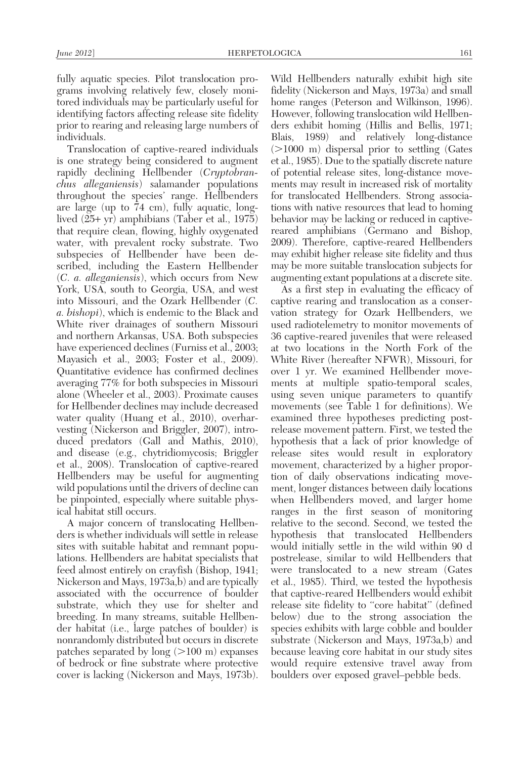fully aquatic species. Pilot translocation programs involving relatively few, closely monitored individuals may be particularly useful for identifying factors affecting release site fidelity prior to rearing and releasing large numbers of individuals.

Translocation of captive-reared individuals is one strategy being considered to augment rapidly declining Hellbender (Cryptobranchus alleganiensis) salamander populations throughout the species' range. Hellbenders are large (up to 74 cm), fully aquatic, longlived (25+ yr) amphibians (Taber et al., 1975) that require clean, flowing, highly oxygenated water, with prevalent rocky substrate. Two subspecies of Hellbender have been described, including the Eastern Hellbender (C. a. alleganiensis), which occurs from New York, USA, south to Georgia, USA, and west into Missouri, and the Ozark Hellbender (C. a. bishopi), which is endemic to the Black and White river drainages of southern Missouri and northern Arkansas, USA. Both subspecies have experienced declines (Furniss et al., 2003; Mayasich et al., 2003; Foster et al., 2009). Quantitative evidence has confirmed declines averaging 77% for both subspecies in Missouri alone (Wheeler et al., 2003). Proximate causes for Hellbender declines may include decreased water quality (Huang et al., 2010), overharvesting (Nickerson and Briggler, 2007), introduced predators (Gall and Mathis, 2010), and disease (e.g., chytridiomycosis; Briggler et al., 2008). Translocation of captive-reared Hellbenders may be useful for augmenting wild populations until the drivers of decline can be pinpointed, especially where suitable physical habitat still occurs.

A major concern of translocating Hellbenders is whether individuals will settle in release sites with suitable habitat and remnant populations. Hellbenders are habitat specialists that feed almost entirely on crayfish (Bishop, 1941; Nickerson and Mays, 1973a,b) and are typically associated with the occurrence of boulder substrate, which they use for shelter and breeding. In many streams, suitable Hellbender habitat (i.e., large patches of boulder) is nonrandomly distributed but occurs in discrete patches separated by  $\log (>100 \text{ m})$  expanses of bedrock or fine substrate where protective cover is lacking (Nickerson and Mays, 1973b).

Wild Hellbenders naturally exhibit high site fidelity (Nickerson and Mays, 1973a) and small home ranges (Peterson and Wilkinson, 1996). However, following translocation wild Hellbenders exhibit homing (Hillis and Bellis, 1971; Blais, 1989) and relatively long-distance  $(>1000 \text{ m})$  dispersal prior to settling (Gates et al., 1985). Due to the spatially discrete nature of potential release sites, long-distance movements may result in increased risk of mortality for translocated Hellbenders. Strong associations with native resources that lead to homing behavior may be lacking or reduced in captivereared amphibians (Germano and Bishop, 2009). Therefore, captive-reared Hellbenders may exhibit higher release site fidelity and thus may be more suitable translocation subjects for augmenting extant populations at a discrete site.

As a first step in evaluating the efficacy of captive rearing and translocation as a conservation strategy for Ozark Hellbenders, we used radiotelemetry to monitor movements of 36 captive-reared juveniles that were released at two locations in the North Fork of the White River (hereafter NFWR), Missouri, for over 1 yr. We examined Hellbender movements at multiple spatio-temporal scales, using seven unique parameters to quantify movements (see Table 1 for definitions). We examined three hypotheses predicting postrelease movement pattern. First, we tested the hypothesis that a lack of prior knowledge of release sites would result in exploratory movement, characterized by a higher proportion of daily observations indicating movement, longer distances between daily locations when Hellbenders moved, and larger home ranges in the first season of monitoring relative to the second. Second, we tested the hypothesis that translocated Hellbenders would initially settle in the wild within 90 d postrelease, similar to wild Hellbenders that were translocated to a new stream (Gates et al., 1985). Third, we tested the hypothesis that captive-reared Hellbenders would exhibit release site fidelity to ''core habitat'' (defined below) due to the strong association the species exhibits with large cobble and boulder substrate (Nickerson and Mays, 1973a,b) and because leaving core habitat in our study sites would require extensive travel away from boulders over exposed gravel–pebble beds.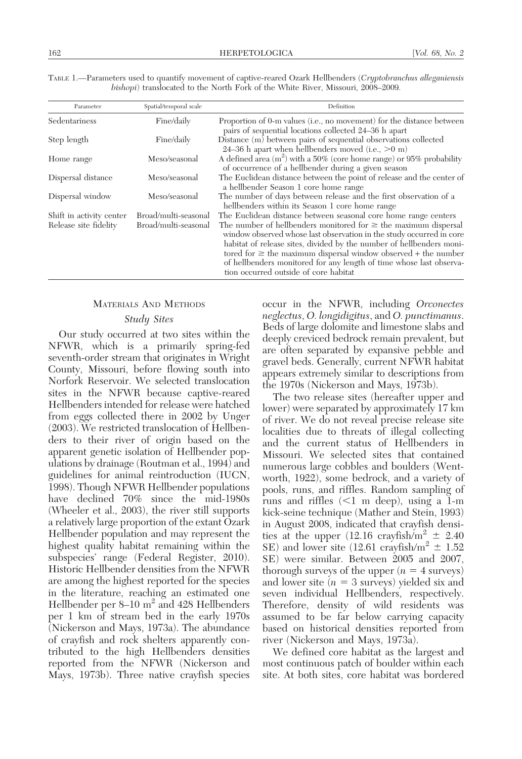| Parameter                | Spatial/temporal scale | Definition                                                                                                                                                                                                                                                                                                                                                                                                    |  |  |
|--------------------------|------------------------|---------------------------------------------------------------------------------------------------------------------------------------------------------------------------------------------------------------------------------------------------------------------------------------------------------------------------------------------------------------------------------------------------------------|--|--|
| Sedentariness            | Fine/daily             | Proportion of 0-m values (i.e., no movement) for the distance between<br>pairs of sequential locations collected 24–36 h apart                                                                                                                                                                                                                                                                                |  |  |
| Step length              | Fine/daily             | Distance (m) between pairs of sequential observations collected<br>24–36 h apart when hellbenders moved (i.e., $>0$ m)                                                                                                                                                                                                                                                                                        |  |  |
| Home range               | Meso/seasonal          | A defined area $(m^2)$ with a 50% (core home range) or 95% probability<br>of occurrence of a hellbender during a given season                                                                                                                                                                                                                                                                                 |  |  |
| Dispersal distance       | Meso/seasonal          | The Euclidean distance between the point of release and the center of<br>a hellbender Season 1 core home range                                                                                                                                                                                                                                                                                                |  |  |
| Dispersal window         | Meso/seasonal          | The number of days between release and the first observation of a<br>hellbenders within its Season 1 core home range                                                                                                                                                                                                                                                                                          |  |  |
| Shift in activity center | Broad/multi-seasonal   | The Euclidean distance between seasonal core home range centers                                                                                                                                                                                                                                                                                                                                               |  |  |
| Release site fidelity    | Broad/multi-seasonal   | The number of hellbenders monitored for $\geq$ the maximum dispersal<br>window observed whose last observation in the study occurred in core<br>habitat of release sites, divided by the number of hellbenders moni-<br>tored for $\geq$ the maximum dispersal window observed $+$ the number<br>of hellbenders monitored for any length of time whose last observa-<br>tion occurred outside of core habitat |  |  |

TABLE 1.—Parameters used to quantify movement of captive-reared Ozark Hellbenders (Cryptobranchus alleganiensis bishopi) translocated to the North Fork of the White River, Missouri, 2008–2009.

# MATERIALS AND METHODS

#### Study Sites

Our study occurred at two sites within the NFWR, which is a primarily spring-fed seventh-order stream that originates in Wright County, Missouri, before flowing south into Norfork Reservoir. We selected translocation sites in the NFWR because captive-reared Hellbenders intended for release were hatched from eggs collected there in 2002 by Unger (2003). We restricted translocation of Hellbenders to their river of origin based on the apparent genetic isolation of Hellbender populations by drainage (Routman et al., 1994) and guidelines for animal reintroduction (IUCN, 1998). Though NFWR Hellbender populations have declined 70% since the mid-1980s (Wheeler et al., 2003), the river still supports a relatively large proportion of the extant Ozark Hellbender population and may represent the highest quality habitat remaining within the subspecies' range (Federal Register, 2010). Historic Hellbender densities from the NFWR are among the highest reported for the species in the literature, reaching an estimated one Hellbender per  $8-10$  m<sup>2</sup> and 428 Hellbenders per 1 km of stream bed in the early 1970s (Nickerson and Mays, 1973a). The abundance of crayfish and rock shelters apparently contributed to the high Hellbenders densities reported from the NFWR (Nickerson and Mays, 1973b). Three native crayfish species

occur in the NFWR, including Orconectes neglectus, O. longidigitus, and O. punctimanus. Beds of large dolomite and limestone slabs and deeply creviced bedrock remain prevalent, but are often separated by expansive pebble and gravel beds. Generally, current NFWR habitat appears extremely similar to descriptions from the 1970s (Nickerson and Mays, 1973b).

The two release sites (hereafter upper and lower) were separated by approximately 17 km of river. We do not reveal precise release site localities due to threats of illegal collecting and the current status of Hellbenders in Missouri. We selected sites that contained numerous large cobbles and boulders (Wentworth, 1922), some bedrock, and a variety of pools, runs, and riffles. Random sampling of runs and riffles  $(<1$  m deep), using a 1-m kick-seine technique (Mather and Stein, 1993) in August 2008, indicated that crayfish densities at the upper (12.16 crayfish $/m^2$   $\pm$  2.40 SE) and lower site  $(12.61 \text{ caryfish/m}^2 \pm 1.52$ SE) were similar. Between 2005 and 2007, thorough surveys of the upper  $(n = 4 \text{ surveys})$ and lower site  $(n = 3$  surveys) yielded six and seven individual Hellbenders, respectively. Therefore, density of wild residents was assumed to be far below carrying capacity based on historical densities reported from river (Nickerson and Mays, 1973a).

We defined core habitat as the largest and most continuous patch of boulder within each site. At both sites, core habitat was bordered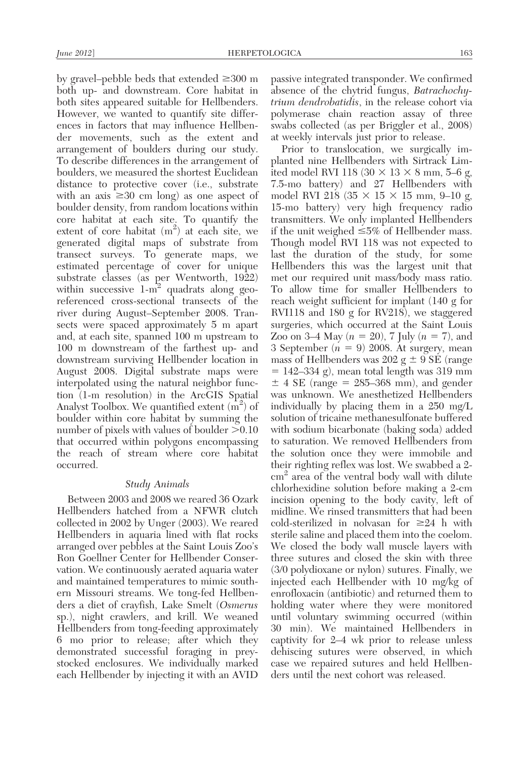by gravel–pebble beds that extended  $\geq 300$  m both up- and downstream. Core habitat in both sites appeared suitable for Hellbenders. However, we wanted to quantify site differences in factors that may influence Hellbender movements, such as the extent and arrangement of boulders during our study. To describe differences in the arrangement of boulders, we measured the shortest Euclidean distance to protective cover (i.e., substrate with an axis  $\geq 30$  cm long) as one aspect of boulder density, from random locations within core habitat at each site. To quantify the extent of core habitat  $(m^2)$  at each site, we generated digital maps of substrate from transect surveys. To generate maps, we estimated percentage of cover for unique substrate classes (as per Wentworth, 1922) within successive  $1-m^2$  quadrats along georeferenced cross-sectional transects of the river during August–September 2008. Transects were spaced approximately 5 m apart and, at each site, spanned 100 m upstream to 100 m downstream of the farthest up- and downstream surviving Hellbender location in August 2008. Digital substrate maps were interpolated using the natural neighbor function (1-m resolution) in the ArcGIS Spatial Analyst Toolbox. We quantified extent  $\binom{1}{1}$  of boulder within core habitat by summing the number of pixels with values of boulder  $>0.10$ that occurred within polygons encompassing the reach of stream where core habitat occurred.

## Study Animals

Between 2003 and 2008 we reared 36 Ozark Hellbenders hatched from a NFWR clutch collected in 2002 by Unger (2003). We reared Hellbenders in aquaria lined with flat rocks arranged over pebbles at the Saint Louis Zoo's Ron Goellner Center for Hellbender Conservation. We continuously aerated aquaria water and maintained temperatures to mimic southern Missouri streams. We tong-fed Hellbenders a diet of crayfish, Lake Smelt (Osmerus sp.), night crawlers, and krill. We weaned Hellbenders from tong-feeding approximately 6 mo prior to release; after which they demonstrated successful foraging in preystocked enclosures. We individually marked each Hellbender by injecting it with an AVID

passive integrated transponder. We confirmed absence of the chytrid fungus, Batrachochytrium dendrobatidis, in the release cohort via polymerase chain reaction assay of three swabs collected (as per Briggler et al., 2008) at weekly intervals just prior to release.

Prior to translocation, we surgically implanted nine Hellbenders with Sirtrack Limited model RVI 118 (30  $\times$  13  $\times$  8 mm, 5–6 g, 7.5-mo battery) and 27 Hellbenders with model RVI 218 (35  $\times$  15  $\times$  15 mm, 9–10 g, 15-mo battery) very high frequency radio transmitters. We only implanted Hellbenders if the unit weighed  $\leq 5\%$  of Hellbender mass. Though model RVI 118 was not expected to last the duration of the study, for some Hellbenders this was the largest unit that met our required unit mass/body mass ratio. To allow time for smaller Hellbenders to reach weight sufficient for implant (140 g for RVI118 and 180 g for RV218), we staggered surgeries, which occurred at the Saint Louis Zoo on 3–4 May  $(n = 20)$ , 7 July  $(n = 7)$ , and 3 September  $(n = 9)$  2008. At surgery, mean mass of Hellbenders was  $202 \text{ g} \pm 9 \text{ SE}$  (range  $= 142-334$  g), mean total length was 319 mm  $\pm$  4 SE (range = 285–368 mm), and gender was unknown. We anesthetized Hellbenders individually by placing them in a 250 mg/L solution of tricaine methanesulfonate buffered with sodium bicarbonate (baking soda) added to saturation. We removed Hellbenders from the solution once they were immobile and their righting reflex was lost. We swabbed a 2 cm<sup>2</sup> area of the ventral body wall with dilute chlorhexidine solution before making a 2-cm incision opening to the body cavity, left of midline. We rinsed transmitters that had been cold-sterilized in nolvasan for  $\geq 24$  h with sterile saline and placed them into the coelom. We closed the body wall muscle layers with three sutures and closed the skin with three (3/0 polydioxane or nylon) sutures. Finally, we injected each Hellbender with 10 mg/kg of enrofloxacin (antibiotic) and returned them to holding water where they were monitored until voluntary swimming occurred (within 30 min). We maintained Hellbenders in captivity for 2–4 wk prior to release unless dehiscing sutures were observed, in which case we repaired sutures and held Hellbenders until the next cohort was released.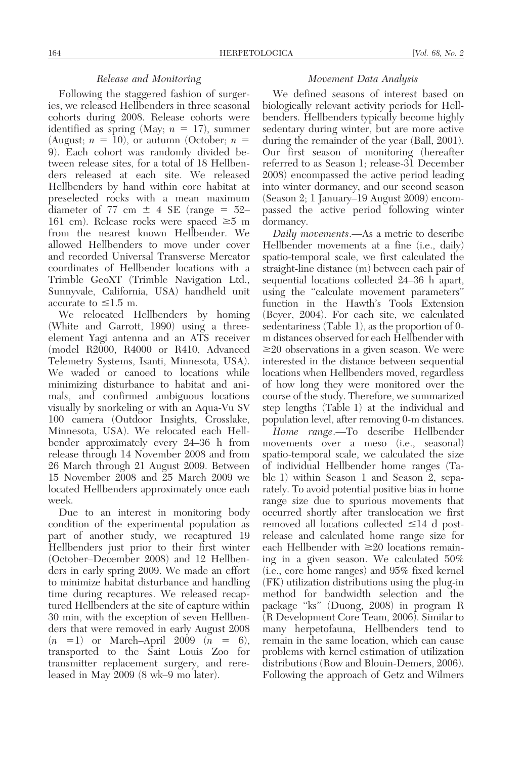Following the staggered fashion of surgeries, we released Hellbenders in three seasonal cohorts during 2008. Release cohorts were identified as spring (May;  $n = 17$ ), summer (August;  $n = 10$ ), or autumn (October;  $n =$ 9). Each cohort was randomly divided between release sites, for a total of 18 Hellbenders released at each site. We released Hellbenders by hand within core habitat at preselected rocks with a mean maximum diameter of 77 cm  $\pm$  4 SE (range = 52– 161 cm). Release rocks were spaced  $\geq 5$  m from the nearest known Hellbender. We allowed Hellbenders to move under cover and recorded Universal Transverse Mercator coordinates of Hellbender locations with a Trimble GeoXT (Trimble Navigation Ltd., Sunnyvale, California, USA) handheld unit accurate to  $\leq 1.5$  m.

We relocated Hellbenders by homing (White and Garrott, 1990) using a threeelement Yagi antenna and an ATS receiver (model R2000, R4000 or R410, Advanced Telemetry Systems, Isanti, Minnesota, USA). We waded or canoed to locations while minimizing disturbance to habitat and animals, and confirmed ambiguous locations visually by snorkeling or with an Aqua-Vu SV 100 camera (Outdoor Insights, Crosslake, Minnesota, USA). We relocated each Hellbender approximately every 24–36 h from release through 14 November 2008 and from 26 March through 21 August 2009. Between 15 November 2008 and 25 March 2009 we located Hellbenders approximately once each week.

Due to an interest in monitoring body condition of the experimental population as part of another study, we recaptured 19 Hellbenders just prior to their first winter (October–December 2008) and 12 Hellbenders in early spring 2009. We made an effort to minimize habitat disturbance and handling time during recaptures. We released recaptured Hellbenders at the site of capture within 30 min, with the exception of seven Hellbenders that were removed in early August 2008  $(n = 1)$  or March–April 2009  $(n = 6)$ , transported to the Saint Louis Zoo for transmitter replacement surgery, and rereleased in May 2009 (8 wk–9 mo later).

# Movement Data Analysis

We defined seasons of interest based on biologically relevant activity periods for Hellbenders. Hellbenders typically become highly sedentary during winter, but are more active during the remainder of the year (Ball, 2001). Our first season of monitoring (hereafter referred to as Season 1; release-31 December 2008) encompassed the active period leading into winter dormancy, and our second season (Season 2; 1 January–19 August 2009) encompassed the active period following winter dormancy.

Daily movements.—As a metric to describe Hellbender movements at a fine (i.e., daily) spatio-temporal scale, we first calculated the straight-line distance (m) between each pair of sequential locations collected 24–36 h apart, using the ''calculate movement parameters'' function in the Hawth's Tools Extension (Beyer, 2004). For each site, we calculated sedentariness (Table 1), as the proportion of 0 m distances observed for each Hellbender with  $\geq$ 20 observations in a given season. We were interested in the distance between sequential locations when Hellbenders moved, regardless of how long they were monitored over the course of the study. Therefore, we summarized step lengths (Table 1) at the individual and population level, after removing 0-m distances.

Home range.—To describe Hellbender movements over a meso (i.e., seasonal) spatio-temporal scale, we calculated the size of individual Hellbender home ranges (Table 1) within Season 1 and Season 2, separately. To avoid potential positive bias in home range size due to spurious movements that occurred shortly after translocation we first removed all locations collected  $\leq 14$  d postrelease and calculated home range size for each Hellbender with  $\geq 20$  locations remaining in a given season. We calculated 50% (i.e., core home ranges) and 95% fixed kernel (FK) utilization distributions using the plug-in method for bandwidth selection and the package ''ks'' (Duong, 2008) in program R (R Development Core Team, 2006). Similar to many herpetofauna, Hellbenders tend to remain in the same location, which can cause problems with kernel estimation of utilization distributions (Row and Blouin-Demers, 2006). Following the approach of Getz and Wilmers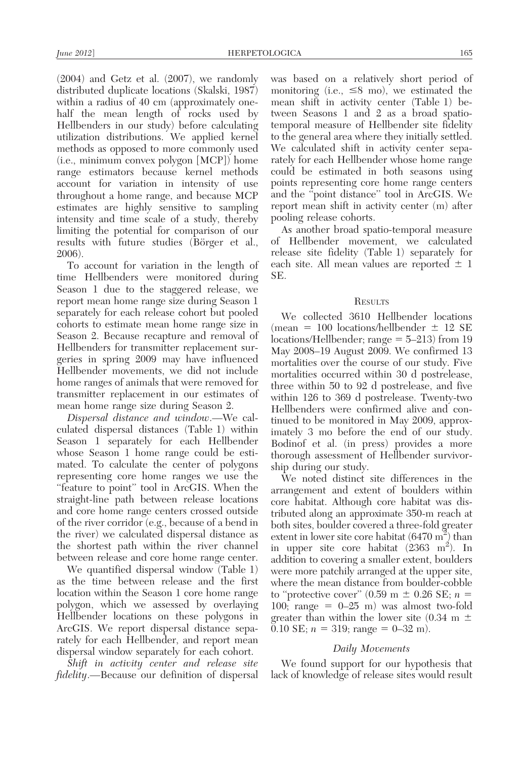(2004) and Getz et al. (2007), we randomly distributed duplicate locations (Skalski, 1987) within a radius of 40 cm (approximately onehalf the mean length of rocks used by Hellbenders in our study) before calculating utilization distributions. We applied kernel methods as opposed to more commonly used (i.e., minimum convex polygon [MCP]) home range estimators because kernel methods account for variation in intensity of use throughout a home range, and because MCP estimates are highly sensitive to sampling intensity and time scale of a study, thereby limiting the potential for comparison of our results with future studies (Börger et al., 2006).

To account for variation in the length of time Hellbenders were monitored during Season 1 due to the staggered release, we report mean home range size during Season 1 separately for each release cohort but pooled cohorts to estimate mean home range size in Season 2. Because recapture and removal of Hellbenders for transmitter replacement surgeries in spring 2009 may have influenced Hellbender movements, we did not include home ranges of animals that were removed for transmitter replacement in our estimates of mean home range size during Season 2.

Dispersal distance and window.—We calculated dispersal distances (Table 1) within Season 1 separately for each Hellbender whose Season 1 home range could be estimated. To calculate the center of polygons representing core home ranges we use the ''feature to point'' tool in ArcGIS. When the straight-line path between release locations and core home range centers crossed outside of the river corridor (e.g., because of a bend in the river) we calculated dispersal distance as the shortest path within the river channel between release and core home range center.

We quantified dispersal window (Table 1) as the time between release and the first location within the Season 1 core home range polygon, which we assessed by overlaying Hellbender locations on these polygons in ArcGIS. We report dispersal distance separately for each Hellbender, and report mean dispersal window separately for each cohort.

Shift in activity center and release site fidelity.—Because our definition of dispersal was based on a relatively short period of monitoring (i.e.,  $\leq 8$  mo), we estimated the mean shift in activity center (Table 1) between Seasons 1 and 2 as a broad spatiotemporal measure of Hellbender site fidelity to the general area where they initially settled. We calculated shift in activity center separately for each Hellbender whose home range could be estimated in both seasons using points representing core home range centers and the ''point distance'' tool in ArcGIS. We report mean shift in activity center (m) after pooling release cohorts.

As another broad spatio-temporal measure of Hellbender movement, we calculated release site fidelity (Table 1) separately for each site. All mean values are reported  $\pm$  1 SE.

### **RESULTS**

We collected 3610 Hellbender locations (mean = 100 locations/hellbender  $\pm$  12 SE locations/Hellbender; range  $= 5-213$  from 19 May 2008–19 August 2009. We confirmed 13 mortalities over the course of our study. Five mortalities occurred within 30 d postrelease, three within 50 to 92 d postrelease, and five within 126 to 369 d postrelease. Twenty-two Hellbenders were confirmed alive and continued to be monitored in May 2009, approximately 3 mo before the end of our study. Bodinof et al. (in press) provides a more thorough assessment of Hellbender survivorship during our study.

We noted distinct site differences in the arrangement and extent of boulders within core habitat. Although core habitat was distributed along an approximate 350-m reach at both sites, boulder covered a three-fold greater extent in lower site core habitat  $(6470 \text{ m}^2)$  than in upper site core habitat (2363 m<sup>2</sup>). In addition to covering a smaller extent, boulders were more patchily arranged at the upper site, where the mean distance from boulder-cobble to "protective cover"  $(0.59 \text{ m } \pm 0.26 \text{ SE}; n =$  $100$ ; range = 0–25 m) was almost two-fold greater than within the lower site  $(0.34 \text{ m } \pm$ 0.10 SE;  $n = 319$ ; range = 0–32 m).

#### Daily Movements

We found support for our hypothesis that lack of knowledge of release sites would result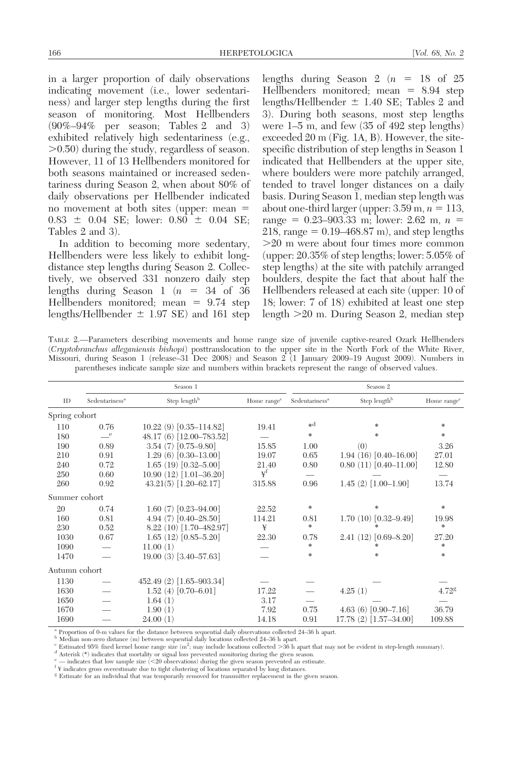in a larger proportion of daily observations indicating movement (i.e., lower sedentariness) and larger step lengths during the first season of monitoring. Most Hellbenders (90%–94% per season; Tables 2 and 3) exhibited relatively high sedentariness (e.g., .0.50) during the study, regardless of season. However, 11 of 13 Hellbenders monitored for both seasons maintained or increased sedentariness during Season 2, when about 80% of daily observations per Hellbender indicated no movement at both sites (upper: mean  $=$  $0.83 \pm 0.04$  SE; lower:  $0.80 \pm 0.04$  SE; Tables 2 and 3).

In addition to becoming more sedentary, Hellbenders were less likely to exhibit longdistance step lengths during Season 2. Collectively, we observed 331 nonzero daily step lengths during Season 1 ( $n = 34$  of 36 Hellbenders monitored; mean  $= 9.74$  step lengths/Hellbender  $\pm$  1.97 SE) and 161 step lengths during Season 2  $(n = 18 \text{ of } 25)$ Hellbenders monitored; mean  $= 8.94$  step lengths/Hellbender  $\pm$  1.40 SE; Tables 2 and 3). During both seasons, most step lengths were 1–5 m, and few (35 of 492 step lengths) exceeded 20 m (Fig. 1A, B). However, the sitespecific distribution of step lengths in Season 1 indicated that Hellbenders at the upper site, where boulders were more patchily arranged, tended to travel longer distances on a daily basis. During Season 1, median step length was about one-third larger (upper:  $3.59$  m,  $n = 113$ , range =  $0.23-903.33$  m; lower: 2.62 m,  $n =$  $218$ , range = 0.19–468.87 m), and step lengths .20 m were about four times more common (upper: 20.35% of step lengths; lower: 5.05% of step lengths) at the site with patchily arranged boulders, despite the fact that about half the Hellbenders released at each site (upper: 10 of 18; lower: 7 of 18) exhibited at least one step  $length >20$  m. During Season 2, median step

TABLE 2.—Parameters describing movements and home range size of juvenile captive-reared Ozark Hellbenders (Cryptobranchus alleganiensis bishopi) posttranslocation to the upper site in the North Fork of the White River, Missouri, during Season 1 (release–31 Dec 2008) and Season 2 (1 January 2009–19 August 2009). Numbers in parentheses indicate sample size and numbers within brackets represent the range of observed values.

|               | Season 1                   |                          |                           | Season 2                   |                          |                         |
|---------------|----------------------------|--------------------------|---------------------------|----------------------------|--------------------------|-------------------------|
| ID            | Sedentariness <sup>a</sup> | Step length <sup>b</sup> | Home range <sup>c</sup>   | Sedentariness <sup>a</sup> | Step length <sup>b</sup> | Home range <sup>c</sup> |
| Spring cohort |                            |                          |                           |                            |                          |                         |
| 110           | 0.76                       | $10.22(9)$ [0.35-114.82] | 19.41                     | $*d$                       | *                        | $\ast$                  |
| 180           |                            | 48.17 (6) [12.00-783.52] |                           | *                          | $*$                      | $\ast$                  |
| 190           | 0.89                       | $3.54(7)[0.75-9.80]$     | 15.85                     | 1.00                       | (0)                      | 3.26                    |
| 210           | 0.91                       | $1.29(6)[0.30-13.00]$    | 19.07                     | 0.65                       | $1.94(16)[0.40-16.00]$   | 27.01                   |
| 240           | 0.72                       | $1.65(19)[0.32 - 5.00]$  | 21.40                     | 0.80                       | $0.80(11) [0.40-11.00]$  | 12.80                   |
| 250           | 0.60                       | $10.90(12)$ [1.01-36.20] | $\mathbf{Y}^{\mathrm{f}}$ |                            |                          |                         |
| 260           | 0.92                       | $43.21(5)$ [1.20-62.17]  | 315.88                    | 0.96                       | $1.45(2)$ [1.00-1.90]    | 13.74                   |
| Summer cohort |                            |                          |                           |                            |                          |                         |
| 20            | 0.74                       | $1.60(7)[0.23 - 94.00]$  | 22.52                     | $*$                        | *                        | $*$                     |
| 160           | 0.81                       | $4.94(7)[0.40-28.50]$    | 114.21                    | 0.81                       | $1.70(10)[0.32 - 9.49]$  | 19.98                   |
| 230           | 0.52                       | 8.22 (10) [1.70-482.97]  | ¥                         | *                          |                          | *                       |
| 1030          | 0.67                       | $1.65(12)[0.85 - 5.20]$  | 22.30                     | 0.78                       | $2.41(12)[0.69-8.20]$    | 27.20                   |
| 1090          |                            | 11.00(1)                 |                           | *                          | *                        | *                       |
| 1470          |                            | $19.00(3)$ [3.40-57.63]  |                           | *                          | ×.                       | *                       |
| Autumn cohort |                            |                          |                           |                            |                          |                         |
| 1130          |                            | 452.49 (2) [1.65–903.34] |                           |                            |                          |                         |
| 1630          |                            | $1.52(4)$ [0.70-6.01]    | 17.22                     |                            | 4.25(1)                  | 4.72 <sup>g</sup>       |
| 1650          |                            | 1.64(1)                  | 3.17                      |                            |                          |                         |
| 1670          |                            | 1.90(1)                  | 7.92                      | 0.75                       | $4.63(6)[0.90-7.16]$     | 36.79                   |
| 1690          |                            | 24.00(1)                 | 14.18                     | 0.91                       | $17.78(2)$ [1.57-34.00]  | 109.88                  |

 $^{\rm a}$  Proportion of 0-m values for the distance between sequential daily observations collected 24–36 h apart.  $^{\rm b}$  Median non-zero distance (m) between sequential daily locations collected 24–36 h apart.

 $^{\rm b}$  Median non-zero distance (m) between sequential daily locations collected 24–36 h apart.<br>c Estimated 95% fixed kernel home range size (m<sup>2</sup>; may include locations collected >36 h :

 $^{\circ}$  Estimated 95% fixed kernel home range size (m<sup>2</sup>; may include locations collected >36 h apart that may not be evident in step-length summary).<br><sup>6</sup> Asterisk (\*) indicates that mortality or signal loss prevented moni

 $^{\rm f}$  Y indicates gross overestimate due to tight clustering of locations separated by long distances.  $^{\rm g}$  Estimate for an individual that was temporarily removed for transmitter replacement in the given season.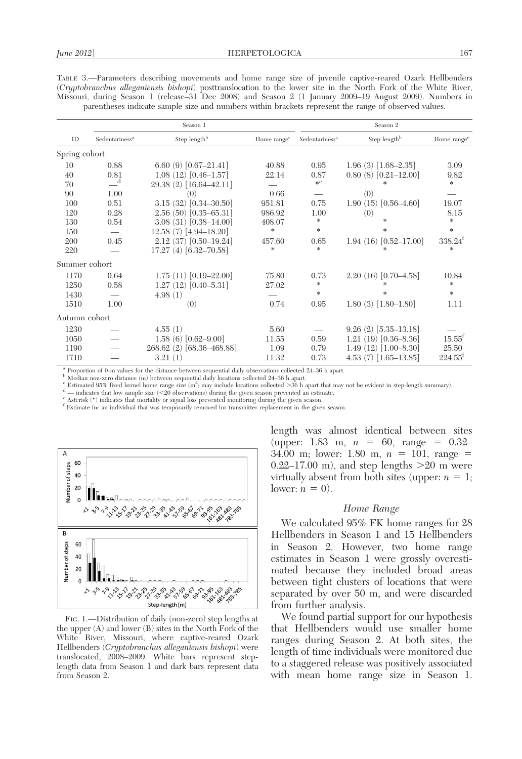| TABLE 3.—Parameters describing movements and home range size of juvenile captive-reared Ozark Hellbenders        |  |
|------------------------------------------------------------------------------------------------------------------|--|
| (Cryptobranchus alleganiensis bishopi) posttranslocation to the lower site in the North Fork of the White River, |  |
| Missouri, during Season 1 (release–31 Dec 2008) and Season 2 (1 January 2009–19 August 2009). Numbers in         |  |
| parentheses indicate sample size and numbers within brackets represent the range of observed values.             |  |

| ID            | Season 1                   |                           |                         | Season 2                          |                          |                         |
|---------------|----------------------------|---------------------------|-------------------------|-----------------------------------|--------------------------|-------------------------|
|               | Sedentariness <sup>a</sup> | Step length <sup>b</sup>  | Home range <sup>c</sup> | Sedentariness <sup>a</sup>        | Step length <sup>b</sup> | Home range <sup>c</sup> |
| Spring cohort |                            |                           |                         |                                   |                          |                         |
| 10            | 0.88                       | $6.60(9)$ $[0.67-21.41]$  | 40.88                   | 0.95                              | $1.96(3)$ [1.68-2.35]    | 3.09                    |
| 40            | 0.81                       | $1.08(12)[0.46-1.57]$     | 22.14                   | 0.87                              | $0.80(8)$ [0.21-12.00]   | 9.82                    |
| 70            | $-^d$                      | 29.38 (2) [16.64-42.11]   |                         | $*^e$                             |                          | *                       |
| 90            | 1.00                       | (0)                       | 0.66                    |                                   | (0)                      |                         |
| 100           | 0.51                       | $3.15(32)[0.34-30.50]$    | 951.81                  | 0.75                              | $1.90(15) [0.56 - 4.60]$ | 19.07                   |
| 120           | 0.28                       | $2.56(50)[0.35-65.31]$    | 986.92                  | 1.00                              | (0)                      | 8.15                    |
| 130           | 0.54                       | $3.08(31)[0.38 - 14.00]$  | 408.07                  | *                                 | ×.                       | *                       |
| 150           |                            | $12.58(7)$ [4.94-18.20]   | *                       | *                                 | *                        | $\ast$                  |
| 200           | 0.45                       | $2.12(37)$ [0.50-19.24]   | 457.60                  | 0.65                              | $1.94(16)[0.52 - 17.00]$ | 338.24 <sup>†</sup>     |
| 220           |                            | $17.27(4)$ [6.32-70.58]   | *                       | $\frac{d\mathbf{x}}{d\mathbf{x}}$ |                          | *                       |
| Summer cohort |                            |                           |                         |                                   |                          |                         |
| 1170          | 0.64                       | $1.75(11)[0.19-22.00]$    | 75.80                   | 0.73                              | $2.20(16)[0.70-4.58]$    | 10.84                   |
| 1250          | 0.58                       | $1.27(12)[0.40 - 5.31]$   | 27.02                   | *                                 |                          | $*$                     |
| 1430          |                            | 4.98(1)                   |                         | *                                 | ×.                       | $\ast$                  |
| 1510          | 1.00                       | (0)                       | 0.74                    | 0.95                              | $1.80(3)$ [1.80-1.80]    | 1.11                    |
| Autumn cohort |                            |                           |                         |                                   |                          |                         |
| 1230          |                            | 4.55(1)                   | 5.60                    |                                   | $9.26(2)$ [5.35-13.18]   |                         |
| 1050          | $\overline{\phantom{0}}$   | 1.58 (6) $[0.62 - 9.00]$  | 11.55                   | 0.59                              | $1.21(19)[0.36 - 8.36]$  | $15.55^{\mathrm{t}}$    |
| 1190          |                            | 268.62 (2) [68.36-468.88] | 1.09                    | 0.79                              | $1.49(12)$ [1.00-8.30]   | 25.50                   |
| 1710          |                            | 3.21(1)                   | 11.32                   | 0.73                              | $4.53(7)$ [1.65-13.85]   | $224.55^{\text{t}}$     |

<sup>a</sup> Proportion of 0-m values for the distance between sequential daily observations collected 24–36 h apart.

 $^{\rm b}$  Median non-zero distance (m) between sequential daily locations collected 24–36 h apart.<br>c Estimated 95% fixed kernel home range size (m<sup>2</sup>; may include locations collected >36 h a

° Estimated 95% fixed kernel home range size (m<sup>2</sup>; may include locations collected >36 h apart that may not be evident in step-length summary).<br><sup>d</sup> — indicates that low sample size (<20 observations) during the given eas



FIG. 1.—Distribution of daily (non-zero) step lengths at the upper (A) and lower (B) sites in the North Fork of the White River, Missouri, where captive-reared Ozark Hellbenders (Cryptobranchus alleganiensis bishopi) were translocated, 2008-2009. White bars represent steplength data from Season 1 and dark bars represent data from Season 2.

length was almost identical between sites (upper: 1.83 m,  $n = 60$ , range = 0.32–  $34.00$  m; lower: 1.80 m,  $n = 101$ , range =  $0.22-17.00$  m), and step lengths  $>20$  m were virtually absent from both sites (upper:  $n = 1$ ; lower:  $n = 0$ ).

#### Home Range

We calculated 95% FK home ranges for 28 Hellbenders in Season 1 and 15 Hellbenders in Season 2. However, two home range estimates in Season 1 were grossly overestimated because they included broad areas between tight clusters of locations that were separated by over 50 m, and were discarded from further analysis.

We found partial support for our hypothesis that Hellbenders would use smaller home ranges during Season 2. At both sites, the length of time individuals were monitored due to a staggered release was positively associated with mean home range size in Season 1.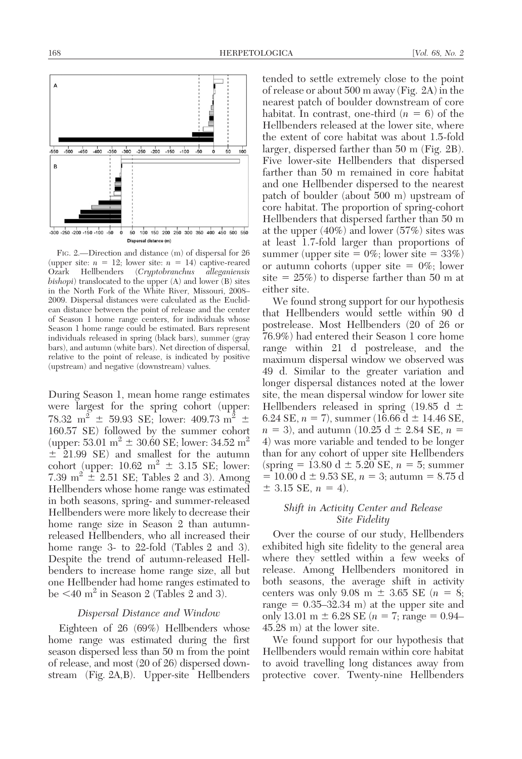

FIG. 2.—Direction and distance (m) of dispersal for 26 (upper site:  $n = 12$ ; lower site:  $n = 14$ ) captive-reared Ozark Hellbenders (Cryptobranchus alleganiensis  $bishop$ ; translocated to the upper  $(A)$  and lower  $(B)$  sites in the North Fork of the White River, Missouri, 2008– 2009. Dispersal distances were calculated as the Euclidean distance between the point of release and the center of Season 1 home range centers, for individuals whose Season 1 home range could be estimated. Bars represent individuals released in spring (black bars), summer (gray bars), and autumn (white bars). Net direction of dispersal, relative to the point of release, is indicated by positive (upstream) and negative (downstream) values.

During Season 1, mean home range estimates were largest for the spring cohort (upper: 78.32 m<sup>2</sup>  $\pm$  59.93 SE; lower: 409.73 m<sup>2</sup>  $\pm$ 160.57 SE) followed by the summer cohort (upper: 53.01 m<sup>2</sup>  $\pm$  30.60 SE; lower: 34.52 m<sup>2</sup>  $\pm$  21.99 SE) and smallest for the autumn cohort (upper:  $10.62 \text{ m}^2 \pm 3.15 \text{ SE}$ ; lower: 7.39 m<sup>2</sup>  $\pm$  2.51 SE; Tables 2 and 3). Among Hellbenders whose home range was estimated in both seasons, spring- and summer-released Hellbenders were more likely to decrease their home range size in Season 2 than autumnreleased Hellbenders, who all increased their home range 3- to 22-fold (Tables 2 and 3). Despite the trend of autumn-released Hellbenders to increase home range size, all but one Hellbender had home ranges estimated to be  $\leq 40$  m<sup>2</sup> in Season 2 (Tables 2 and 3).

#### Dispersal Distance and Window

Eighteen of 26 (69%) Hellbenders whose home range was estimated during the first season dispersed less than 50 m from the point of release, and most (20 of 26) dispersed downstream (Fig. 2A,B). Upper-site Hellbenders tended to settle extremely close to the point of release or about 500 m away (Fig. 2A) in the nearest patch of boulder downstream of core habitat. In contrast, one-third  $(n = 6)$  of the Hellbenders released at the lower site, where the extent of core habitat was about 1.5-fold larger, dispersed farther than 50 m (Fig. 2B). Five lower-site Hellbenders that dispersed farther than 50 m remained in core habitat and one Hellbender dispersed to the nearest patch of boulder (about 500 m) upstream of core habitat. The proportion of spring-cohort Hellbenders that dispersed farther than 50 m at the upper (40%) and lower (57%) sites was at least 1.7-fold larger than proportions of summer (upper site  $= 0\%$ ; lower site  $= 33\%$ ) or autumn cohorts (upper site  $= 0\%$ ; lower site  $= 25\%)$  to disperse farther than 50 m at either site.

We found strong support for our hypothesis that Hellbenders would settle within 90 d postrelease. Most Hellbenders (20 of 26 or 76.9%) had entered their Season 1 core home range within 21 d postrelease, and the maximum dispersal window we observed was 49 d. Similar to the greater variation and longer dispersal distances noted at the lower site, the mean dispersal window for lower site Hellbenders released in spring (19.85 d  $\pm$ 6.24 SE,  $n = 7$ ), summer (16.66 d  $\pm$  14.46 SE,  $n = 3$ ), and autumn (10.25 d  $\pm$  2.84 SE,  $n =$ 4) was more variable and tended to be longer than for any cohort of upper site Hellbenders (spring = 13.80 d  $\pm$  5.20 SE, n = 5; summer  $= 10.00$  d  $\pm$  9.53 SE,  $n = 3$ ; autumn = 8.75 d  $\pm$  3.15 SE,  $n = 4$ ).

# Shift in Activity Center and Release Site Fidelity

Over the course of our study, Hellbenders exhibited high site fidelity to the general area where they settled within a few weeks of release. Among Hellbenders monitored in both seasons, the average shift in activity centers was only 9.08 m  $\pm$  3.65 SE (n = 8; range  $= 0.35-32.34$  m) at the upper site and only 13.01 m  $\pm$  6.28 SE (n = 7; range = 0.94– 45.28 m) at the lower site.

We found support for our hypothesis that Hellbenders would remain within core habitat to avoid travelling long distances away from protective cover. Twenty-nine Hellbenders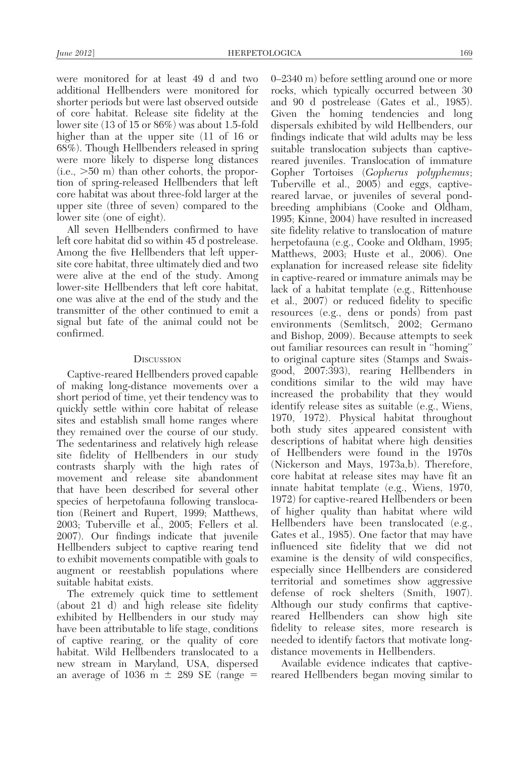were monitored for at least 49 d and two additional Hellbenders were monitored for shorter periods but were last observed outside of core habitat. Release site fidelity at the lower site (13 of 15 or 86%) was about 1.5-fold higher than at the upper site (11 of 16 or 68%). Though Hellbenders released in spring were more likely to disperse long distances  $(i.e., >50 \text{ m})$  than other cohorts, the proportion of spring-released Hellbenders that left core habitat was about three-fold larger at the upper site (three of seven) compared to the lower site (one of eight).

All seven Hellbenders confirmed to have left core habitat did so within 45 d postrelease. Among the five Hellbenders that left uppersite core habitat, three ultimately died and two were alive at the end of the study. Among lower-site Hellbenders that left core habitat, one was alive at the end of the study and the transmitter of the other continued to emit a signal but fate of the animal could not be confirmed.

#### **DISCUSSION**

Captive-reared Hellbenders proved capable of making long-distance movements over a short period of time, yet their tendency was to quickly settle within core habitat of release sites and establish small home ranges where they remained over the course of our study. The sedentariness and relatively high release site fidelity of Hellbenders in our study contrasts sharply with the high rates of movement and release site abandonment that have been described for several other species of herpetofauna following translocation (Reinert and Rupert, 1999; Matthews, 2003; Tuberville et al., 2005; Fellers et al. 2007). Our findings indicate that juvenile Hellbenders subject to captive rearing tend to exhibit movements compatible with goals to augment or reestablish populations where suitable habitat exists.

The extremely quick time to settlement (about 21 d) and high release site fidelity exhibited by Hellbenders in our study may have been attributable to life stage, conditions of captive rearing, or the quality of core habitat. Wild Hellbenders translocated to a new stream in Maryland, USA, dispersed an average of 1036 m  $\pm$  289 SE (range =

0–2340 m) before settling around one or more rocks, which typically occurred between 30 and 90 d postrelease (Gates et al., 1985). Given the homing tendencies and long dispersals exhibited by wild Hellbenders, our findings indicate that wild adults may be less suitable translocation subjects than captivereared juveniles. Translocation of immature Gopher Tortoises (Gopherus polyphemus; Tuberville et al., 2005) and eggs, captivereared larvae, or juveniles of several pondbreeding amphibians (Cooke and Oldham, 1995; Kinne, 2004) have resulted in increased site fidelity relative to translocation of mature herpetofauna (e.g., Cooke and Oldham, 1995; Matthews, 2003; Huste et al., 2006). One explanation for increased release site fidelity in captive-reared or immature animals may be lack of a habitat template (e.g., Rittenhouse et al., 2007) or reduced fidelity to specific resources (e.g., dens or ponds) from past environments (Semlitsch, 2002; Germano and Bishop, 2009). Because attempts to seek out familiar resources can result in ''homing'' to original capture sites (Stamps and Swaisgood, 2007:393), rearing Hellbenders in conditions similar to the wild may have increased the probability that they would identify release sites as suitable (e.g., Wiens, 1970, 1972). Physical habitat throughout both study sites appeared consistent with descriptions of habitat where high densities of Hellbenders were found in the 1970s (Nickerson and Mays, 1973a,b). Therefore, core habitat at release sites may have fit an innate habitat template (e.g., Wiens, 1970, 1972) for captive-reared Hellbenders or been of higher quality than habitat where wild Hellbenders have been translocated (e.g., Gates et al., 1985). One factor that may have influenced site fidelity that we did not examine is the density of wild conspecifics, especially since Hellbenders are considered territorial and sometimes show aggressive defense of rock shelters (Smith, 1907). Although our study confirms that captivereared Hellbenders can show high site fidelity to release sites, more research is needed to identify factors that motivate longdistance movements in Hellbenders.

Available evidence indicates that captivereared Hellbenders began moving similar to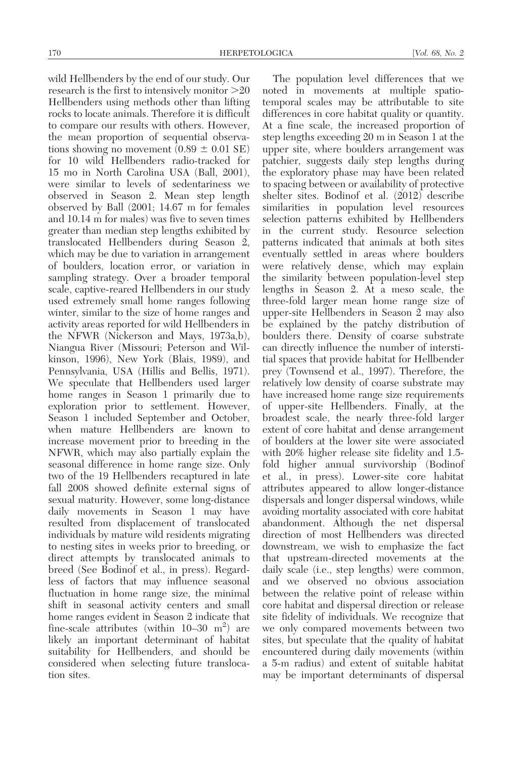wild Hellbenders by the end of our study. Our research is the first to intensively monitor  $>20$ Hellbenders using methods other than lifting rocks to locate animals. Therefore it is difficult to compare our results with others. However, the mean proportion of sequential observations showing no movement  $(0.89 \pm 0.01 \text{ SE})$ for 10 wild Hellbenders radio-tracked for 15 mo in North Carolina USA (Ball, 2001), were similar to levels of sedentariness we observed in Season 2. Mean step length observed by Ball (2001; 14.67 m for females and 10.14 m for males) was five to seven times greater than median step lengths exhibited by translocated Hellbenders during Season 2, which may be due to variation in arrangement of boulders, location error, or variation in sampling strategy. Over a broader temporal scale, captive-reared Hellbenders in our study used extremely small home ranges following winter, similar to the size of home ranges and activity areas reported for wild Hellbenders in the NFWR (Nickerson and Mays, 1973a,b), Niangua River (Missouri; Peterson and Wilkinson, 1996), New York (Blais, 1989), and Pennsylvania, USA (Hillis and Bellis, 1971). We speculate that Hellbenders used larger home ranges in Season 1 primarily due to exploration prior to settlement. However, Season 1 included September and October, when mature Hellbenders are known to increase movement prior to breeding in the NFWR, which may also partially explain the seasonal difference in home range size. Only two of the 19 Hellbenders recaptured in late fall 2008 showed definite external signs of sexual maturity. However, some long-distance daily movements in Season 1 may have resulted from displacement of translocated individuals by mature wild residents migrating to nesting sites in weeks prior to breeding, or direct attempts by translocated animals to breed (See Bodinof et al., in press). Regardless of factors that may influence seasonal fluctuation in home range size, the minimal shift in seasonal activity centers and small home ranges evident in Season 2 indicate that fine-scale attributes (within  $10-30$  m<sup>2</sup>) are likely an important determinant of habitat suitability for Hellbenders, and should be considered when selecting future translocation sites.

The population level differences that we noted in movements at multiple spatiotemporal scales may be attributable to site differences in core habitat quality or quantity. At a fine scale, the increased proportion of step lengths exceeding 20 m in Season 1 at the upper site, where boulders arrangement was patchier, suggests daily step lengths during the exploratory phase may have been related to spacing between or availability of protective shelter sites. Bodinof et al. (2012) describe similarities in population level resources selection patterns exhibited by Hellbenders in the current study. Resource selection patterns indicated that animals at both sites eventually settled in areas where boulders were relatively dense, which may explain the similarity between population-level step lengths in Season 2. At a meso scale, the three-fold larger mean home range size of upper-site Hellbenders in Season 2 may also be explained by the patchy distribution of boulders there. Density of coarse substrate can directly influence the number of interstitial spaces that provide habitat for Hellbender prey (Townsend et al., 1997). Therefore, the relatively low density of coarse substrate may have increased home range size requirements of upper-site Hellbenders. Finally, at the broadest scale, the nearly three-fold larger extent of core habitat and dense arrangement of boulders at the lower site were associated with 20% higher release site fidelity and 1.5 fold higher annual survivorship (Bodinof et al., in press). Lower-site core habitat attributes appeared to allow longer-distance dispersals and longer dispersal windows, while avoiding mortality associated with core habitat abandonment. Although the net dispersal direction of most Hellbenders was directed downstream, we wish to emphasize the fact that upstream-directed movements at the daily scale (i.e., step lengths) were common, and we observed no obvious association between the relative point of release within core habitat and dispersal direction or release site fidelity of individuals. We recognize that we only compared movements between two sites, but speculate that the quality of habitat encountered during daily movements (within a 5-m radius) and extent of suitable habitat may be important determinants of dispersal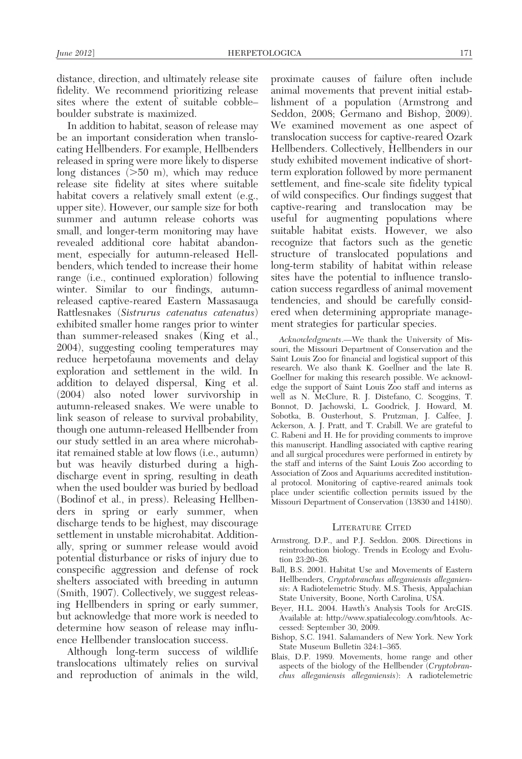distance, direction, and ultimately release site fidelity. We recommend prioritizing release sites where the extent of suitable cobble– boulder substrate is maximized.

In addition to habitat, season of release may be an important consideration when translocating Hellbenders. For example, Hellbenders released in spring were more likely to disperse long distances  $(>=50 \text{ m})$ , which may reduce release site fidelity at sites where suitable habitat covers a relatively small extent (e.g., upper site). However, our sample size for both summer and autumn release cohorts was small, and longer-term monitoring may have revealed additional core habitat abandonment, especially for autumn-released Hellbenders, which tended to increase their home range (i.e., continued exploration) following winter. Similar to our findings, autumnreleased captive-reared Eastern Massasauga Rattlesnakes (Sistrurus catenatus catenatus) exhibited smaller home ranges prior to winter than summer-released snakes (King et al., 2004), suggesting cooling temperatures may reduce herpetofauna movements and delay exploration and settlement in the wild. In addition to delayed dispersal, King et al. (2004) also noted lower survivorship in autumn-released snakes. We were unable to link season of release to survival probability, though one autumn-released Hellbender from our study settled in an area where microhabitat remained stable at low flows (i.e., autumn) but was heavily disturbed during a highdischarge event in spring, resulting in death when the used boulder was buried by bedload (Bodinof et al., in press). Releasing Hellbenders in spring or early summer, when discharge tends to be highest, may discourage settlement in unstable microhabitat. Additionally, spring or summer release would avoid potential disturbance or risks of injury due to conspecific aggression and defense of rock shelters associated with breeding in autumn (Smith, 1907). Collectively, we suggest releasing Hellbenders in spring or early summer, but acknowledge that more work is needed to determine how season of release may influence Hellbender translocation success.

Although long-term success of wildlife translocations ultimately relies on survival and reproduction of animals in the wild, proximate causes of failure often include animal movements that prevent initial establishment of a population (Armstrong and Seddon, 2008; Germano and Bishop, 2009). We examined movement as one aspect of translocation success for captive-reared Ozark Hellbenders. Collectively, Hellbenders in our study exhibited movement indicative of shortterm exploration followed by more permanent settlement, and fine-scale site fidelity typical of wild conspecifics. Our findings suggest that captive-rearing and translocation may be useful for augmenting populations where suitable habitat exists. However, we also recognize that factors such as the genetic structure of translocated populations and long-term stability of habitat within release sites have the potential to influence translocation success regardless of animal movement tendencies, and should be carefully considered when determining appropriate management strategies for particular species.

Acknowledgments.—We thank the University of Missouri, the Missouri Department of Conservation and the Saint Louis Zoo for financial and logistical support of this research. We also thank K. Goellner and the late R. Goellner for making this research possible. We acknowledge the support of Saint Louis Zoo staff and interns as well as N. McClure, R. J. Distefano, C. Scoggins, T. Bonnot, D. Jachowski, L. Goodrick, J. Howard, M. Sobotka, B. Ousterhout, S. Prutzman, J. Calfee, J. Ackerson, A. J. Pratt, and T. Crabill. We are grateful to C. Rabeni and H. He for providing comments to improve this manuscript. Handling associated with captive rearing and all surgical procedures were performed in entirety by the staff and interns of the Saint Louis Zoo according to Association of Zoos and Aquariums accredited institutional protocol. Monitoring of captive-reared animals took place under scientific collection permits issued by the Missouri Department of Conservation (13830 and 14180).

#### LITERATURE CITED

- Armstrong, D.P., and P.J. Seddon. 2008. Directions in reintroduction biology. Trends in Ecology and Evolution 23:20–26.
- Ball, B.S. 2001. Habitat Use and Movements of Eastern Hellbenders, Cryptobranchus alleganiensis alleganiensis: A Radiotelemetric Study. M.S. Thesis, Appalachian State University, Boone, North Carolina, USA.
- Beyer, H.L. 2004. Hawth's Analysis Tools for ArcGIS. Available at: http://www.spatialecology.com/htools. Accessed: September 30, 2009.
- Bishop, S.C. 1941. Salamanders of New York. New York State Museum Bulletin 324:1–365.
- Blais, D.P. 1989. Movements, home range and other aspects of the biology of the Hellbender (Cryptobranchus alleganiensis alleganiensis): A radiotelemetric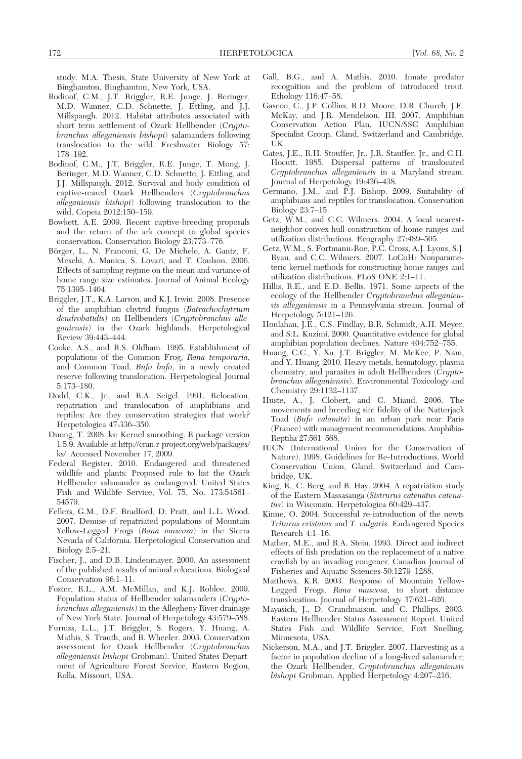study. M.A. Thesis, State University of New York at Binghamton, Binghamton, New York, USA.

- Bodinof, C.M., J.T. Briggler, R.E. Junge, J. Beringer, M.D. Wanner, C.D. Schuette, J. Ettling, and J.J. Millspaugh. 2012. Habitat attributes associated with short term settlement of Ozark Hellbender (Cryptobranchus alleganiensis bishopi) salamanders following translocation to the wild. Freshwater Biology 57: 178–192.
- Bodinof, C.M., J.T. Briggler, R.E. Junge, T. Mong, J. Beringer, M.D. Wanner, C.D. Schuette, J. Ettling, and J.J. Millspaugh. 2012. Survival and body condition of captive-reared Ozark Hellbenders (Cryptobranchus alleganiensis bishopi) following translocation to the wild. Copeia 2012:150–159.
- Bowkett, A.E. 2009. Recent captive-breeding proposals and the return of the ark concept to global species conservation. Conservation Biology 23:773–776.
- Börger, L., N. Franconi, G. De Michele, A. Gantz, F. Meschi, A. Manica, S. Lovari, and T. Coulson. 2006. Effects of sampling regime on the mean and variance of home range size estimates. Journal of Animal Ecology 75:1395–1404.
- Briggler, J.T., K.A. Larson, and K.J. Irwin. 2008. Presence of the amphibian chytrid fungus (Batrachochytrium dendrobatidis) on Hellbenders (Cryptobranchus alleganiensis) in the Ozark highlands. Herpetological Review 39:443–444.
- Cooke, A.S., and R.S. Oldham. 1995. Establishment of populations of the Common Frog, Rana temporaria, and Common Toad, Bufo bufo, in a newly created reserve following translocation. Herpetological Journal 5:173–180.
- Dodd, C.K., Jr., and R.A. Seigel. 1991. Relocation, repatriation and translocation of amphibians and reptiles: Are they conservation strategies that work? Herpetologica 47:336–350.
- Duong, T. 2008. ks: Kernel smoothing. R package version 1.5.9. Available at http://cran.r-project.org/web/packages/ ks/. Accessed November 17, 2009.
- Federal Register. 2010. Endangered and threatened wildlife and plants: Proposed rule to list the Ozark Hellbender salamander as endangered. United States Fish and Wildlife Service, Vol. 75, No. 173:54561– 54579.
- Fellers, G.M., D.F. Bradford, D. Pratt, and L.L. Wood. 2007. Demise of repatriated populations of Mountain Yellow-Legged Frogs (Rana muscosa) in the Sierra Nevada of California. Herpetological Conservation and Biology 2:5–21.
- Fischer, J., and D.B. Lindenmayer. 2000. An assessment of the published results of animal relocations. Biological Conservation 96:1–11.
- Foster, R.L., A.M. McMillan, and K.J. Roblee. 2009. Population status of Hellbender salamanders (Cryptobranchus alleganiensis) in the Allegheny River drainage of New York State. Journal of Herpetology 43:579–588.
- Furniss, L.L., J.T. Briggler, S. Rogers, Y. Huang, A. Mathis, S. Trauth, and B. Wheeler. 2003. Conservation assessment for Ozark Hellbender (Cryptobranchus alleganiensis bishopi Grobman). United States Department of Agriculture Forest Service, Eastern Region, Rolla, Missouri, USA.
- Gall, B.G., and A. Mathis. 2010. Innate predator recognition and the problem of introduced trout. Ethology 116:47–58.
- Gascon, C., J.P. Collins, R.D. Moore, D.R. Church, J.E. McKay, and J.R. Mendelson, III. 2007. Amphibian Conservation Action Plan. IUCN/SSC Amphibian Specialist Group, Gland, Switzerland and Cambridge, UK.
- Gates, J.E., R.H. Stouffer, Jr., J.R. Stauffer, Jr., and C.H. Hocutt. 1985. Dispersal patterns of translocated Cryptobranchus alleganiensis in a Maryland stream. Journal of Herpetology 19:436–438.
- Germano, J.M., and P.J. Bishop. 2009. Suitability of amphibians and reptiles for translocation. Conservation Biology 23:7–15.
- Getz, W.M., and C.C. Wilmers. 2004. A local nearestneighbor convex-hull construction of home ranges and utilization distributions. Ecography 27:489–505.
- Getz, W.M., S. Fortmann-Roe, P.C. Cross, A.J. Lyons, S.J. Ryan, and C.C. Wilmers. 2007. LoCoH: Nonparameteric kernel methods for constructing home ranges and utilization distributions. PLoS ONE 2:1–11.
- Hillis, R.E., and E.D. Bellis. 1971. Some aspects of the ecology of the Hellbender Cryptobranchus alleganiensis alleganiensis in a Pennsylvania stream. Journal of Herpetology 5:121–126.
- Houlahan, J.E., C.S. Findlay, B.R. Schmidt, A.H. Meyer, and S.L. Kuzimi. 2000. Quantitative evidence for global amphibian population declines. Nature 404:752–755.
- Huang, C.C., Y. Xu, J.T. Briggler, M. McKee, P. Nam, and Y. Huang. 2010. Heavy metals, hematology, plasma chemistry, and parasites in adult Hellbenders (Cryptobranchus alleganiensis). Environmental Toxicology and Chemistry 29:1132–1137.
- Huste, A., J. Clobert, and C. Miaud. 2006. The movements and breeding site fidelity of the Natterjack Toad (Bufo calamita) in an urban park near Paris (France) with management recommendations. Amphibia-Reptilia 27:561–568.
- IUCN (International Union for the Conservation of Nature). 1998, Guidelines for Re-Introductions. World Conservation Union, Gland, Switzerland and Cambridge, UK.
- King, R., C. Berg, and B. Hay. 2004. A repatriation study of the Eastern Massasauga (Sistrurus catenatus catenatus) in Wisconsin. Herpetologica 60:429–437.
- Kinne, O. 2004. Successful re-introduction of the newts Triturus cristatus and T. vulgaris. Endangered Species Research 4:1–16.
- Mather, M.E., and R.A. Stein. 1993. Direct and indirect effects of fish predation on the replacement of a native crayfish by an invading congener. Canadian Journal of Fisheries and Aquatic Sciences 50:1279–1288.
- Matthews, K.R. 2003. Response of Mountain Yellow-Legged Frogs, Rana muscosa, to short distance translocation. Journal of Herpetology 37:621–626.
- Mayasich, J., D. Grandmaison, and C. Phillips. 2003. Eastern Hellbender Status Assessment Report. United States Fish and Wildlife Service, Fort Snelling, Minnesota, USA.
- Nickerson, M.A., and J.T. Briggler. 2007. Harvesting as a factor in population decline of a long-lived salamander; the Ozark Hellbender, Cryptobranchus alleganiensis bishopi Grobman. Applied Herpetology 4:207–216.